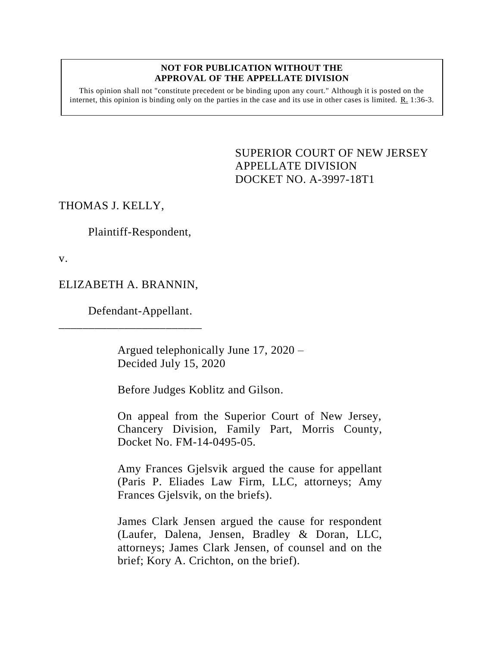## **NOT FOR PUBLICATION WITHOUT THE APPROVAL OF THE APPELLATE DIVISION**

This opinion shall not "constitute precedent or be binding upon any court." Although it is posted on the internet, this opinion is binding only on the parties in the case and its use in other cases is limited. R. 1:36-3.

> SUPERIOR COURT OF NEW JERSEY APPELLATE DIVISION DOCKET NO. A-3997-18T1

## THOMAS J. KELLY,

Plaintiff-Respondent,

v.

## ELIZABETH A. BRANNIN,

\_\_\_\_\_\_\_\_\_\_\_\_\_\_\_\_\_\_\_\_\_\_\_\_

Defendant-Appellant.

Argued telephonically June 17, 2020 – Decided July 15, 2020

Before Judges Koblitz and Gilson.

On appeal from the Superior Court of New Jersey, Chancery Division, Family Part, Morris County, Docket No. FM-14-0495-05.

Amy Frances Gjelsvik argued the cause for appellant (Paris P. Eliades Law Firm, LLC, attorneys; Amy Frances Gjelsvik, on the briefs).

James Clark Jensen argued the cause for respondent (Laufer, Dalena, Jensen, Bradley & Doran, LLC, attorneys; James Clark Jensen, of counsel and on the brief; Kory A. Crichton, on the brief).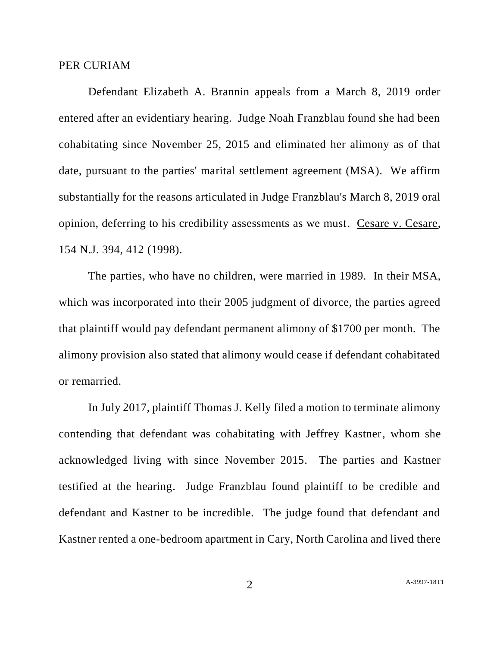## PER CURIAM

Defendant Elizabeth A. Brannin appeals from a March 8, 2019 order entered after an evidentiary hearing. Judge Noah Franzblau found she had been cohabitating since November 25, 2015 and eliminated her alimony as of that date, pursuant to the parties' marital settlement agreement (MSA). We affirm substantially for the reasons articulated in Judge Franzblau's March 8, 2019 oral opinion, deferring to his credibility assessments as we must. Cesare v. Cesare, 154 N.J. 394, 412 (1998).

The parties, who have no children, were married in 1989. In their MSA, which was incorporated into their 2005 judgment of divorce, the parties agreed that plaintiff would pay defendant permanent alimony of \$1700 per month. The alimony provision also stated that alimony would cease if defendant cohabitated or remarried.

In July 2017, plaintiff Thomas J. Kelly filed a motion to terminate alimony contending that defendant was cohabitating with Jeffrey Kastner, whom she acknowledged living with since November 2015. The parties and Kastner testified at the hearing. Judge Franzblau found plaintiff to be credible and defendant and Kastner to be incredible. The judge found that defendant and Kastner rented a one-bedroom apartment in Cary, North Carolina and lived there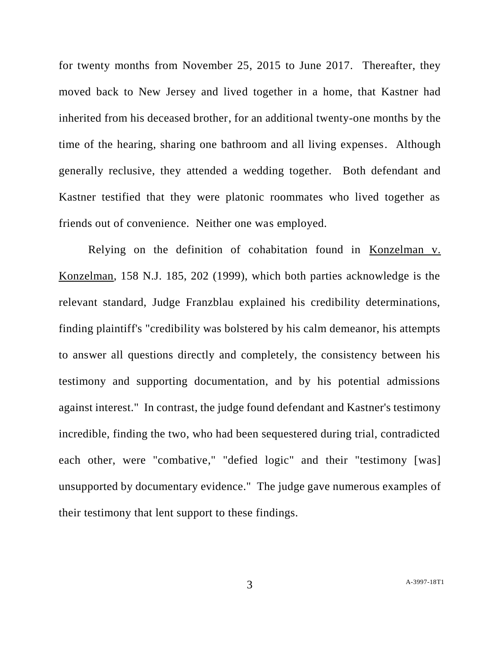for twenty months from November 25, 2015 to June 2017. Thereafter, they moved back to New Jersey and lived together in a home, that Kastner had inherited from his deceased brother, for an additional twenty-one months by the time of the hearing, sharing one bathroom and all living expenses. Although generally reclusive, they attended a wedding together. Both defendant and Kastner testified that they were platonic roommates who lived together as friends out of convenience. Neither one was employed.

Relying on the definition of cohabitation found in Konzelman v. Konzelman, 158 N.J. 185, 202 (1999), which both parties acknowledge is the relevant standard, Judge Franzblau explained his credibility determinations, finding plaintiff's "credibility was bolstered by his calm demeanor, his attempts to answer all questions directly and completely, the consistency between his testimony and supporting documentation, and by his potential admissions against interest." In contrast, the judge found defendant and Kastner's testimony incredible, finding the two, who had been sequestered during trial, contradicted each other, were "combative," "defied logic" and their "testimony [was] unsupported by documentary evidence." The judge gave numerous examples of their testimony that lent support to these findings.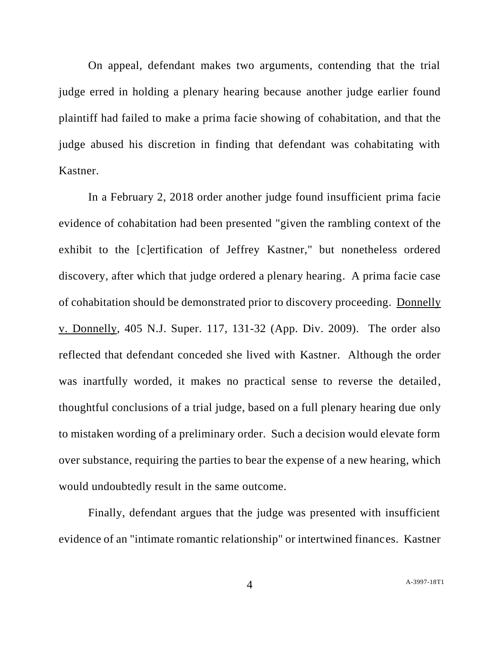On appeal, defendant makes two arguments, contending that the trial judge erred in holding a plenary hearing because another judge earlier found plaintiff had failed to make a prima facie showing of cohabitation, and that the judge abused his discretion in finding that defendant was cohabitating with Kastner.

In a February 2, 2018 order another judge found insufficient prima facie evidence of cohabitation had been presented "given the rambling context of the exhibit to the [c]ertification of Jeffrey Kastner," but nonetheless ordered discovery, after which that judge ordered a plenary hearing. A prima facie case of cohabitation should be demonstrated prior to discovery proceeding. Donnelly v. Donnelly, 405 N.J. Super. 117, 131-32 (App. Div. 2009). The order also reflected that defendant conceded she lived with Kastner. Although the order was inartfully worded, it makes no practical sense to reverse the detailed, thoughtful conclusions of a trial judge, based on a full plenary hearing due only to mistaken wording of a preliminary order. Such a decision would elevate form over substance, requiring the parties to bear the expense of a new hearing, which would undoubtedly result in the same outcome.

Finally, defendant argues that the judge was presented with insufficient evidence of an "intimate romantic relationship" or intertwined finances. Kastner